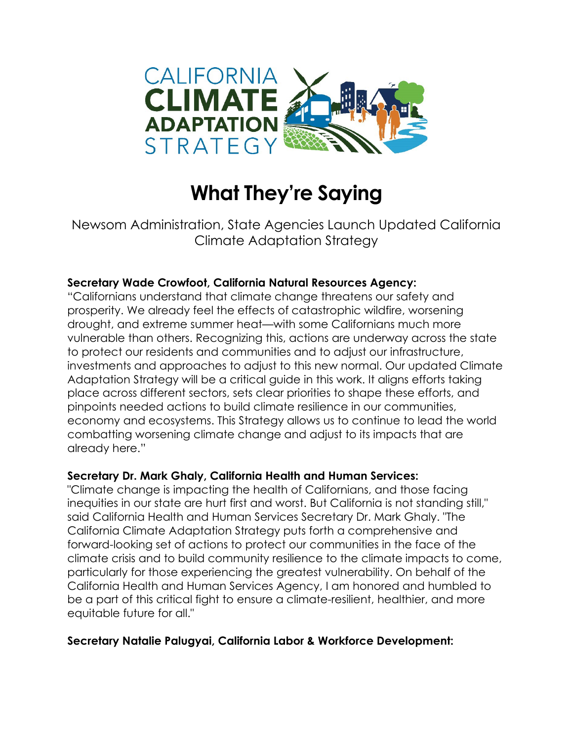

# **What They're Saying**

Newsom Administration, State Agencies Launch Updated California Climate Adaptation Strategy

## **Secretary Wade Crowfoot, California Natural Resources Agency:**

"Californians understand that climate change threatens our safety and prosperity. We already feel the effects of catastrophic wildfire, worsening drought, and extreme summer heat—with some Californians much more vulnerable than others. Recognizing this, actions are underway across the state to protect our residents and communities and to adjust our infrastructure, investments and approaches to adjust to this new normal. Our updated Climate Adaptation Strategy will be a critical guide in this work. It aligns efforts taking place across different sectors, sets clear priorities to shape these efforts, and pinpoints needed actions to build climate resilience in our communities, economy and ecosystems. This Strategy allows us to continue to lead the world combatting worsening climate change and adjust to its impacts that are already here."

#### **Secretary Dr. Mark Ghaly, California Health and Human Services:**

"Climate change is impacting the health of Californians, and those facing inequities in our state are hurt first and worst. But California is not standing still," said California Health and Human Services Secretary Dr. Mark Ghaly. "The California Climate Adaptation Strategy puts forth a comprehensive and forward-looking set of actions to protect our communities in the face of the climate crisis and to build community resilience to the climate impacts to come, particularly for those experiencing the greatest vulnerability. On behalf of the California Health and Human Services Agency, I am honored and humbled to be a part of this critical fight to ensure a climate-resilient, healthier, and more equitable future for all."

#### **Secretary Natalie Palugyai, California Labor & Workforce Development:**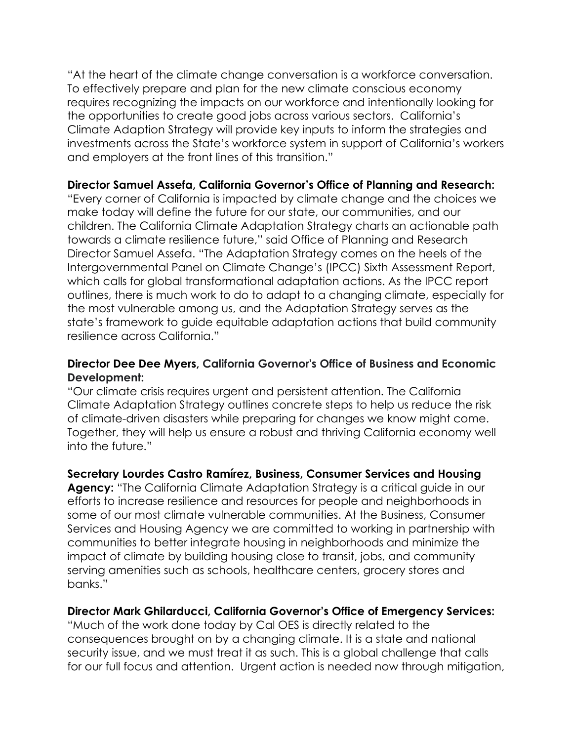"At the heart of the climate change conversation is a workforce conversation. To effectively prepare and plan for the new climate conscious economy requires recognizing the impacts on our workforce and intentionally looking for the opportunities to create good jobs across various sectors. California's Climate Adaption Strategy will provide key inputs to inform the strategies and investments across the State's workforce system in support of California's workers and employers at the front lines of this transition."

#### **Director Samuel Assefa, California Governor's Office of Planning and Research:**

"Every corner of California is impacted by climate change and the choices we make today will define the future for our state, our communities, and our children. The California Climate Adaptation Strategy charts an actionable path towards a climate resilience future," said Office of Planning and Research Director Samuel Assefa. "The Adaptation Strategy comes on the heels of the Intergovernmental Panel on Climate Change's (IPCC) Sixth Assessment Report, which calls for global transformational adaptation actions. As the IPCC report outlines, there is much work to do to adapt to a changing climate, especially for the most vulnerable among us, and the Adaptation Strategy serves as the state's framework to guide equitable adaptation actions that build community resilience across California."

#### **Director Dee Dee Myers, California Governor's Office of Business and Economic Development:**

"Our climate crisis requires urgent and persistent attention. The California Climate Adaptation Strategy outlines concrete steps to help us reduce the risk of climate-driven disasters while preparing for changes we know might come. Together, they will help us ensure a robust and thriving California economy well into the future."

#### **Secretary Lourdes Castro Ramírez, Business, Consumer Services and Housing**

**Agency:** "The California Climate Adaptation Strategy is a critical guide in our efforts to increase resilience and resources for people and neighborhoods in some of our most climate vulnerable communities. At the Business, Consumer Services and Housing Agency we are committed to working in partnership with communities to better integrate housing in neighborhoods and minimize the impact of climate by building housing close to transit, jobs, and community serving amenities such as schools, healthcare centers, grocery stores and banks."

#### **Director Mark Ghilarducci, California Governor's Office of Emergency Services:**

"Much of the work done today by Cal OES is directly related to the consequences brought on by a changing climate. It is a state and national security issue, and we must treat it as such. This is a global challenge that calls for our full focus and attention. Urgent action is needed now through mitigation,